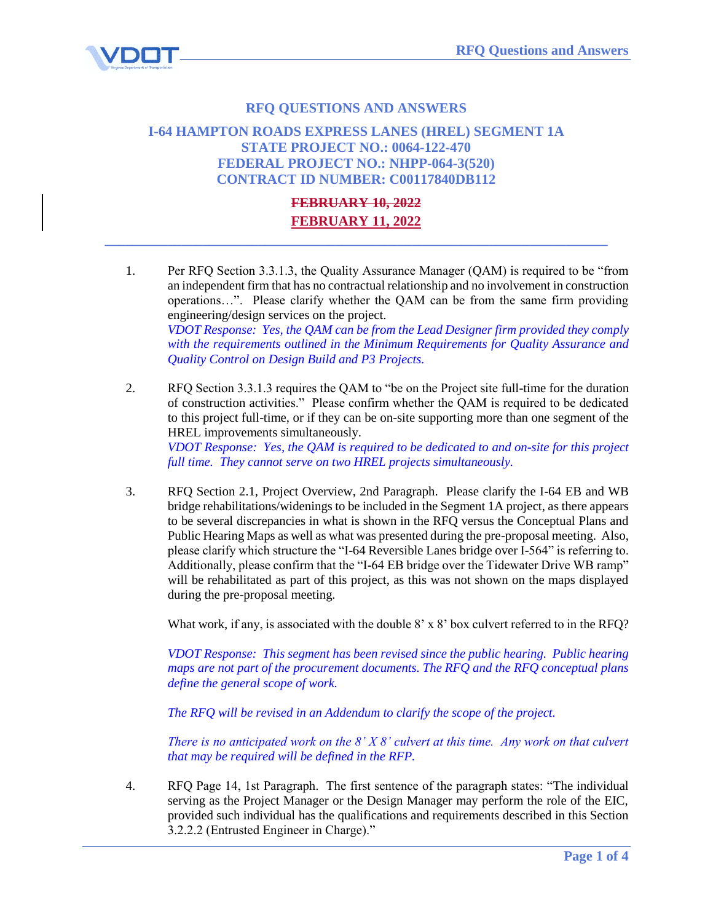

## **RFQ QUESTIONS AND ANSWERS**

## **I-64 HAMPTON ROADS EXPRESS LANES (HREL) SEGMENT 1A STATE PROJECT NO.: 0064-122-470 FEDERAL PROJECT NO.: NHPP-064-3(520) CONTRACT ID NUMBER: C00117840DB112**

## **FEBRUARY 10, 2022 FEBRUARY 11, 2022**

**\_\_\_\_\_\_\_\_\_\_\_\_\_\_\_\_\_\_\_\_\_\_\_\_\_\_\_\_\_\_\_\_\_\_\_\_\_\_\_\_\_\_\_\_\_\_\_\_\_\_\_\_\_\_\_\_\_\_\_\_\_\_\_\_\_\_\_\_\_\_\_\_**

- 1. Per RFQ Section 3.3.1.3, the Quality Assurance Manager (QAM) is required to be "from an independent firm that has no contractual relationship and no involvement in construction operations…". Please clarify whether the QAM can be from the same firm providing engineering/design services on the project. *VDOT Response: Yes, the QAM can be from the Lead Designer firm provided they comply with the requirements outlined in the Minimum Requirements for Quality Assurance and Quality Control on Design Build and P3 Projects.*
- 2. RFQ Section 3.3.1.3 requires the QAM to "be on the Project site full-time for the duration of construction activities." Please confirm whether the QAM is required to be dedicated to this project full-time, or if they can be on-site supporting more than one segment of the HREL improvements simultaneously. *VDOT Response: Yes, the QAM is required to be dedicated to and on-site for this project full time. They cannot serve on two HREL projects simultaneously.*
- 3. RFQ Section 2.1, Project Overview, 2nd Paragraph. Please clarify the I-64 EB and WB bridge rehabilitations/widenings to be included in the Segment 1A project, as there appears to be several discrepancies in what is shown in the RFQ versus the Conceptual Plans and Public Hearing Maps as well as what was presented during the pre-proposal meeting. Also, please clarify which structure the "I-64 Reversible Lanes bridge over I-564" is referring to. Additionally, please confirm that the "I-64 EB bridge over the Tidewater Drive WB ramp" will be rehabilitated as part of this project, as this was not shown on the maps displayed during the pre-proposal meeting.

What work, if any, is associated with the double 8' x 8' box culvert referred to in the RFQ?

*VDOT Response: This segment has been revised since the public hearing. Public hearing maps are not part of the procurement documents. The RFQ and the RFQ conceptual plans define the general scope of work.* 

*The RFQ will be revised in an Addendum to clarify the scope of the project.*

*There is no anticipated work on the 8' X 8' culvert at this time. Any work on that culvert that may be required will be defined in the RFP.* 

4. RFQ Page 14, 1st Paragraph. The first sentence of the paragraph states: "The individual serving as the Project Manager or the Design Manager may perform the role of the EIC, provided such individual has the qualifications and requirements described in this Section 3.2.2.2 (Entrusted Engineer in Charge)."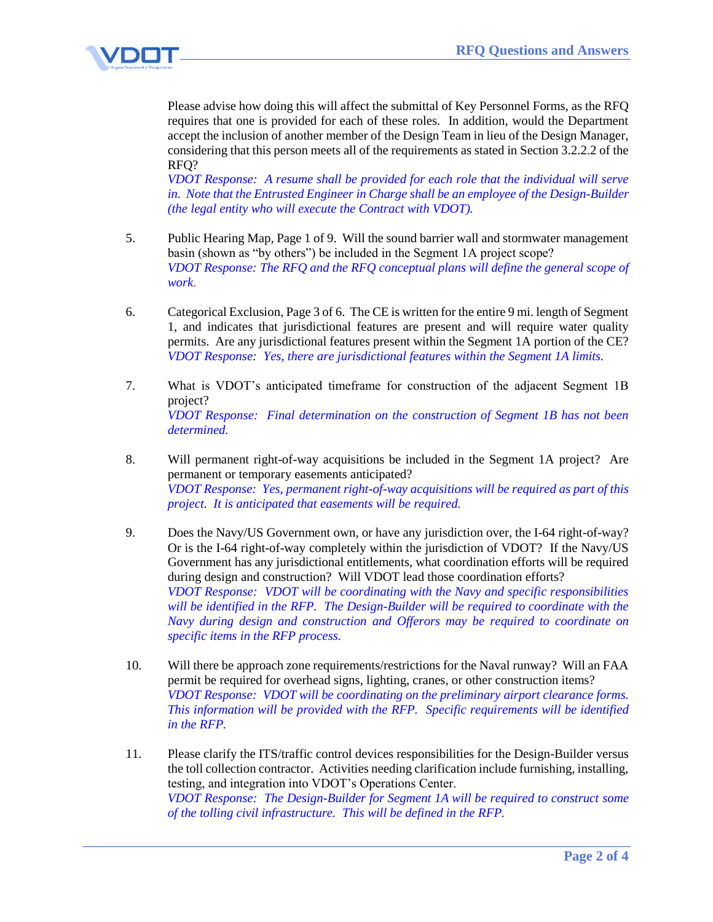

Please advise how doing this will affect the submittal of Key Personnel Forms, as the RFQ requires that one is provided for each of these roles. In addition, would the Department accept the inclusion of another member of the Design Team in lieu of the Design Manager, considering that this person meets all of the requirements as stated in Section 3.2.2.2 of the RFQ?

*VDOT Response: A resume shall be provided for each role that the individual will serve in. Note that the Entrusted Engineer in Charge shall be an employee of the Design-Builder (the legal entity who will execute the Contract with VDOT).* 

- 5. Public Hearing Map, Page 1 of 9. Will the sound barrier wall and stormwater management basin (shown as "by others") be included in the Segment 1A project scope? *VDOT Response: The RFQ and the RFQ conceptual plans will define the general scope of work.*
- 6. Categorical Exclusion, Page 3 of 6. The CE is written for the entire 9 mi. length of Segment 1, and indicates that jurisdictional features are present and will require water quality permits. Are any jurisdictional features present within the Segment 1A portion of the CE? *VDOT Response: Yes, there are jurisdictional features within the Segment 1A limits.*
- 7. What is VDOT's anticipated timeframe for construction of the adjacent Segment 1B project? *VDOT Response: Final determination on the construction of Segment 1B has not been determined.*
- 8. Will permanent right-of-way acquisitions be included in the Segment 1A project? Are permanent or temporary easements anticipated? *VDOT Response: Yes, permanent right-of-way acquisitions will be required as part of this project. It is anticipated that easements will be required.*
- 9. Does the Navy/US Government own, or have any jurisdiction over, the I-64 right-of-way? Or is the I-64 right-of-way completely within the jurisdiction of VDOT? If the Navy/US Government has any jurisdictional entitlements, what coordination efforts will be required during design and construction? Will VDOT lead those coordination efforts? *VDOT Response: VDOT will be coordinating with the Navy and specific responsibilities will be identified in the RFP. The Design-Builder will be required to coordinate with the Navy during design and construction and Offerors may be required to coordinate on specific items in the RFP process.*
- 10. Will there be approach zone requirements/restrictions for the Naval runway? Will an FAA permit be required for overhead signs, lighting, cranes, or other construction items? *VDOT Response: VDOT will be coordinating on the preliminary airport clearance forms. This information will be provided with the RFP. Specific requirements will be identified in the RFP.*
- 11. Please clarify the ITS/traffic control devices responsibilities for the Design-Builder versus the toll collection contractor. Activities needing clarification include furnishing, installing, testing, and integration into VDOT's Operations Center. *VDOT Response: The Design-Builder for Segment 1A will be required to construct some of the tolling civil infrastructure. This will be defined in the RFP.*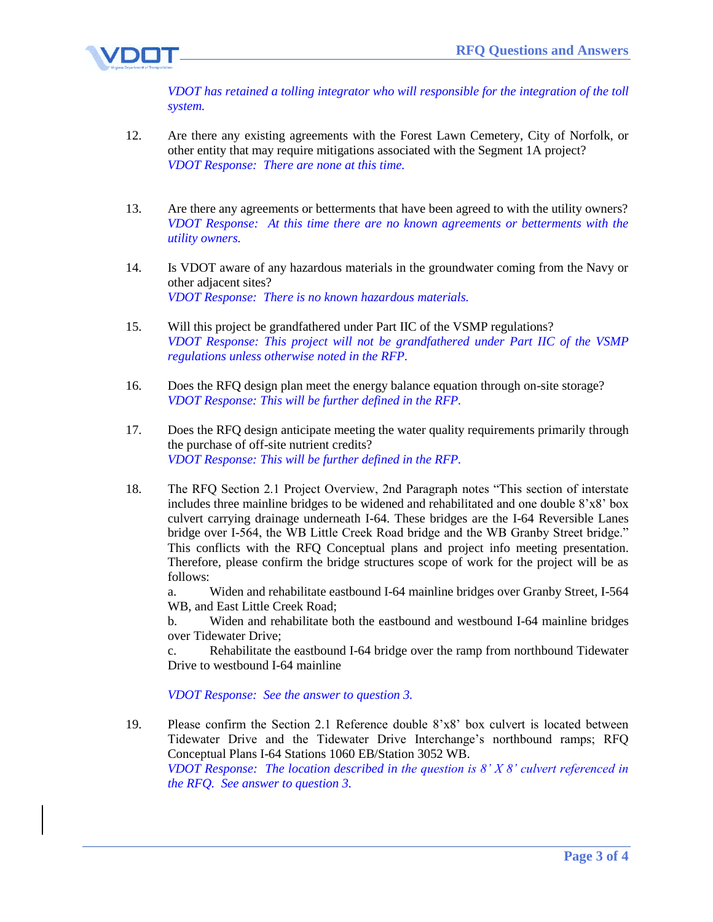

*VDOT has retained a tolling integrator who will responsible for the integration of the toll system.*

- 12. Are there any existing agreements with the Forest Lawn Cemetery, City of Norfolk, or other entity that may require mitigations associated with the Segment 1A project? *VDOT Response: There are none at this time.*
- 13. Are there any agreements or betterments that have been agreed to with the utility owners? *VDOT Response: At this time there are no known agreements or betterments with the utility owners.*
- 14. Is VDOT aware of any hazardous materials in the groundwater coming from the Navy or other adjacent sites? *VDOT Response: There is no known hazardous materials.*
- 15. Will this project be grandfathered under Part IIC of the VSMP regulations? *VDOT Response: This project will not be grandfathered under Part IIC of the VSMP regulations unless otherwise noted in the RFP.*
- 16. Does the RFQ design plan meet the energy balance equation through on-site storage? *VDOT Response: This will be further defined in the RFP.*
- 17. Does the RFQ design anticipate meeting the water quality requirements primarily through the purchase of off-site nutrient credits? *VDOT Response: This will be further defined in the RFP.*
- 18. The RFQ Section 2.1 Project Overview, 2nd Paragraph notes "This section of interstate includes three mainline bridges to be widened and rehabilitated and one double 8'x8' box culvert carrying drainage underneath I-64. These bridges are the I-64 Reversible Lanes bridge over I-564, the WB Little Creek Road bridge and the WB Granby Street bridge." This conflicts with the RFQ Conceptual plans and project info meeting presentation. Therefore, please confirm the bridge structures scope of work for the project will be as follows:

a. Widen and rehabilitate eastbound I-64 mainline bridges over Granby Street, I-564 WB, and East Little Creek Road;

b. Widen and rehabilitate both the eastbound and westbound I-64 mainline bridges over Tidewater Drive;

c. Rehabilitate the eastbound I-64 bridge over the ramp from northbound Tidewater Drive to westbound I-64 mainline

*VDOT Response: See the answer to question 3.*

19. Please confirm the Section 2.1 Reference double 8'x8' box culvert is located between Tidewater Drive and the Tidewater Drive Interchange's northbound ramps; RFQ Conceptual Plans I-64 Stations 1060 EB/Station 3052 WB. *VDOT Response: The location described in the question is 8' X 8' culvert referenced in the RFQ. See answer to question 3.*